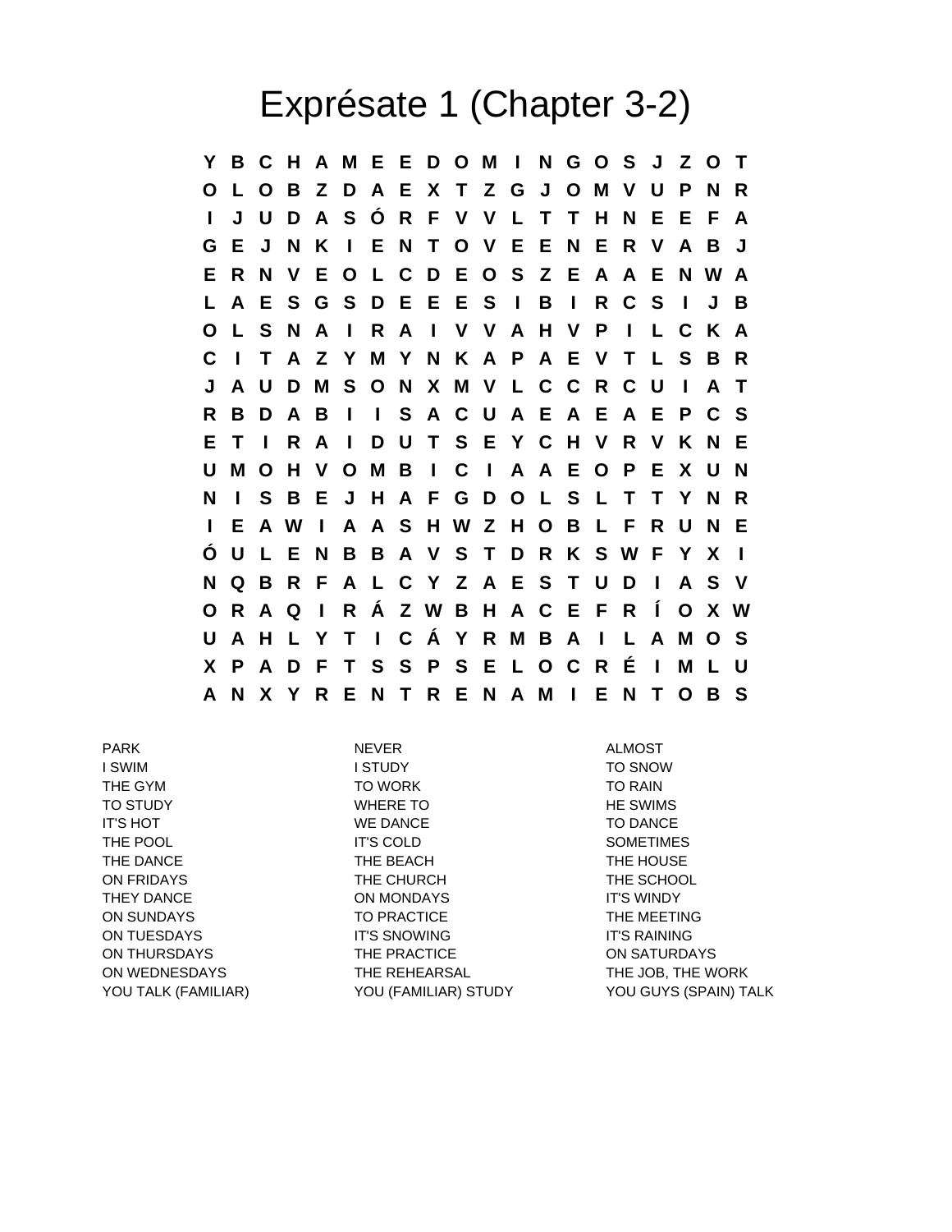## Exprésate 1 (Chapter 3-2)

**Y B C H A M E E D O M I N G O S J Z O T O L O B Z D A E X T Z G J O M V U P N R I J U D A S Ó R F V V L T T H N E E F A G E J N K I E N T O V E E N E R V A B J E R N V E O L C D E O S Z E A A E N W A L A E S G S D E E E S I B I R C S I J B O L S N A I R A I V V A H V P I L C K A C I T A Z Y M Y N K A P A E V T L S B R J A U D M S O N X M V L C C R C U I A T R B D A B I I S A C U A E A E A E P C S E T I R A I D U T S E Y C H V R V K N E U M O H V O M B I C I A A E O P E X U N N I S B E J H A F G D O L S L T T Y N R I E A W I A A S H W Z H O B L F R U N E Ó U L E N B B A V S T D R K S W F Y X I N Q B R F A L C Y Z A E S T U D I A S V O R A Q I R Á Z W B H A C E F R Í O X W U A H L Y T I C Á Y R M B A I L A M O S X P A D F T S S P S E L O C R É I M L U A N X Y R E N T R E N A M I E N T O B S**

PARK NEVER ALMOST I SWIM I STUDY TO SNOW THE GYM TO WORK TO RAIN TO STUDY TO STUDY TO STUDY TO STUDY TO STUDY THE SWIMS IT'S HOT TO DANCE TO DANCE TO DANCE THE POOL **THE POOL IT'S COLD IT'S COLD IT'S COLD** THE DANCE THE REACH THE HOUSE THE HOUSE ON FRIDAYS THE CHURCH THE SCHOOL THEY DANCE **ON MONDAYS IT'S WINDY** ON SUNDAYS TO PRACTICE THE MEETING ON TUESDAYS IT'S SNOWING IT'S RAINING ON THURSDAYS THE PRACTICE ON SATURDAYS ON WEDNESDAYS THE REHEARSAL THE THE JOB, THE WORK

YOU TALK (FAMILIAR) YOU (FAMILIAR) STUDY YOU GUYS (SPAIN) TALK